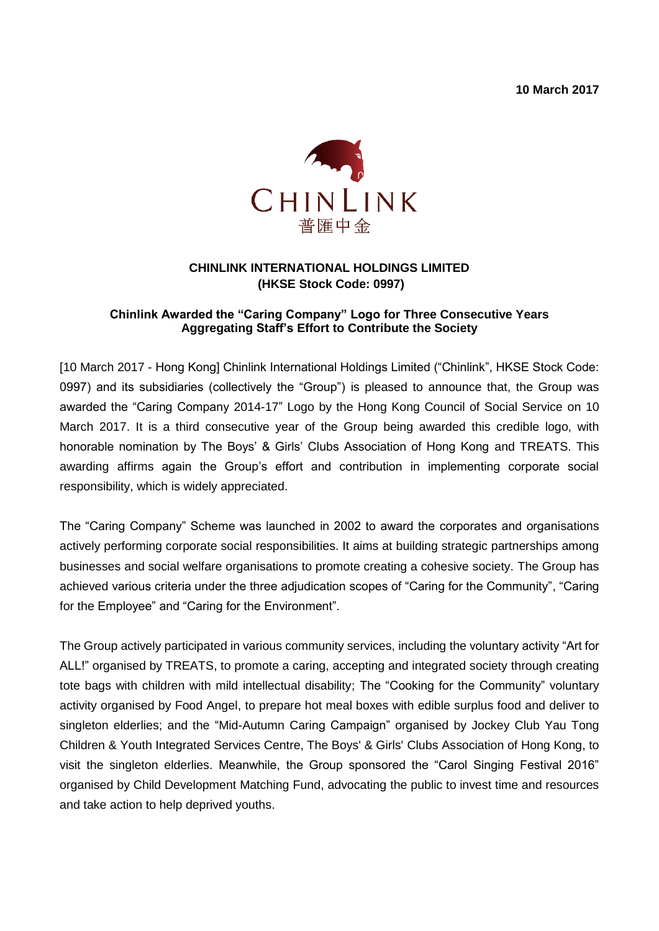**10 March 2017**



## **CHINLINK INTERNATIONAL HOLDINGS LIMITED (HKSE Stock Code: 0997)**

## **Chinlink Awarded the "Caring Company" Logo for Three Consecutive Years Aggregating Staff's Effort to Contribute the Society**

[10 March 2017 - Hong Kong] Chinlink International Holdings Limited ("Chinlink", HKSE Stock Code: 0997) and its subsidiaries (collectively the "Group") is pleased to announce that, the Group was awarded the "Caring Company 2014-17" Logo by the Hong Kong Council of Social Service on 10 March 2017. It is a third consecutive year of the Group being awarded this credible logo, with honorable nomination by The Boys' & Girls' Clubs Association of Hong Kong and TREATS. This awarding affirms again the Group's effort and contribution in implementing corporate social responsibility, which is widely appreciated.

The "Caring Company" Scheme was launched in 2002 to award the corporates and organisations actively performing corporate social responsibilities. It aims at building strategic partnerships among businesses and social welfare organisations to promote creating a cohesive society. The Group has achieved various criteria under the three adjudication scopes of "Caring for the Community", "Caring for the Employee" and "Caring for the Environment".

The Group actively participated in various community services, including the voluntary activity "Art for ALL!" organised by TREATS, to promote a caring, accepting and integrated society through creating tote bags with children with mild intellectual disability; The "Cooking for the Community" voluntary activity organised by Food Angel, to prepare hot meal boxes with edible surplus food and deliver to singleton elderlies; and the "Mid-Autumn Caring Campaign" organised by Jockey Club Yau Tong Children & Youth Integrated Services Centre, The Boys' & Girls' Clubs Association of Hong Kong, to visit the singleton elderlies. Meanwhile, the Group sponsored the "Carol Singing Festival 2016" organised by Child Development Matching Fund, advocating the public to invest time and resources and take action to help deprived youths.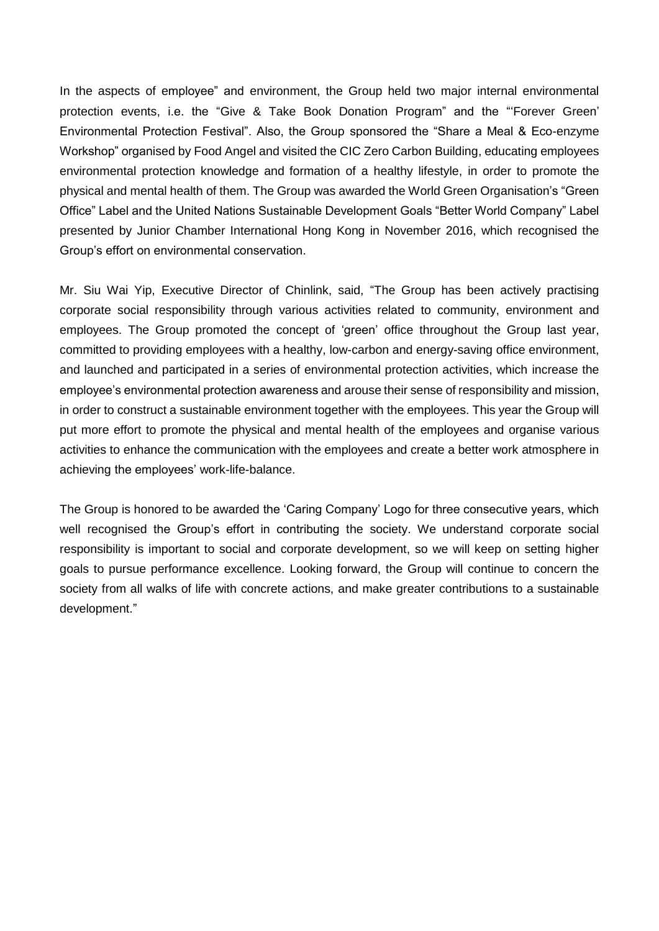In the aspects of employee" and environment, the Group held two major internal environmental protection events, i.e. the "Give & Take Book Donation Program" and the "'Forever Green' Environmental Protection Festival". Also, the Group sponsored the "Share a Meal & Eco-enzyme Workshop" organised by Food Angel and visited the CIC Zero Carbon Building, educating employees environmental protection knowledge and formation of a healthy lifestyle, in order to promote the physical and mental health of them. The Group was awarded the World Green Organisation's "Green Office" Label and the United Nations Sustainable Development Goals "Better World Company" Label presented by Junior Chamber International Hong Kong in November 2016, which recognised the Group's effort on environmental conservation.

Mr. Siu Wai Yip, Executive Director of Chinlink, said, "The Group has been actively practising corporate social responsibility through various activities related to community, environment and employees. The Group promoted the concept of 'green' office throughout the Group last year, committed to providing employees with a healthy, low-carbon and energy-saving office environment, and launched and participated in a series of environmental protection activities, which increase the employee's environmental protection awareness and arouse their sense of responsibility and mission, in order to construct a sustainable environment together with the employees. This year the Group will put more effort to promote the physical and mental health of the employees and organise various activities to enhance the communication with the employees and create a better work atmosphere in achieving the employees' work-life-balance.

The Group is honored to be awarded the 'Caring Company' Logo for three consecutive years, which well recognised the Group's effort in contributing the society. We understand corporate social responsibility is important to social and corporate development, so we will keep on setting higher goals to pursue performance excellence. Looking forward, the Group will continue to concern the society from all walks of life with concrete actions, and make greater contributions to a sustainable development."